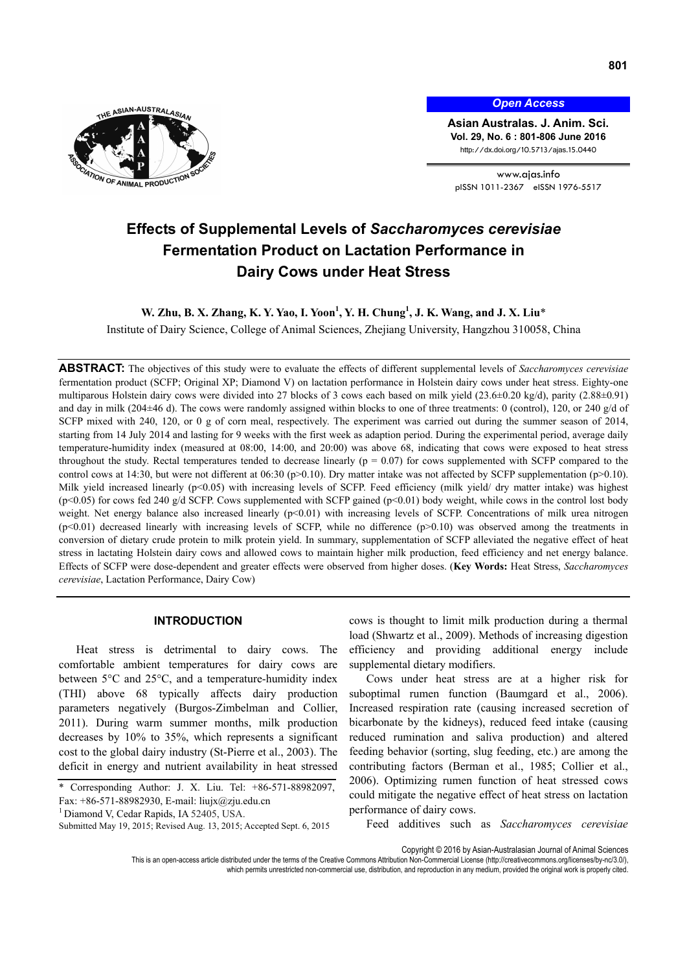

*Open Access*

**Asian Australas. J. Anim. Sci. Vol. 29, No. 6 : 801-806 June 2016**  http://dx.doi.org/10.5713/ajas.15.0440

www.ajas.info pISSN 1011-2367 eISSN 1976-5517

# **Effects of Supplemental Levels of** *Saccharomyces cerevisiae* **Fermentation Product on Lactation Performance in Dairy Cows under Heat Stress**

# **W. Zhu, B. X. Zhang, K. Y. Yao, I. Yoon<sup>1</sup>, Y. H. Chung<sup>1</sup>, J. K. Wang, and J. X. Liu<sup>\*</sup>**

Institute of Dairy Science, College of Animal Sciences, Zhejiang University, Hangzhou 310058, China

**ABSTRACT:** The objectives of this study were to evaluate the effects of different supplemental levels of *Saccharomyces cerevisiae*  fermentation product (SCFP; Original XP; Diamond V) on lactation performance in Holstein dairy cows under heat stress. Eighty-one multiparous Holstein dairy cows were divided into 27 blocks of 3 cows each based on milk yield (23.6±0.20 kg/d), parity (2.88±0.91) and day in milk (204±46 d). The cows were randomly assigned within blocks to one of three treatments: 0 (control), 120, or 240 g/d of SCFP mixed with 240, 120, or 0 g of corn meal, respectively. The experiment was carried out during the summer season of 2014, starting from 14 July 2014 and lasting for 9 weeks with the first week as adaption period. During the experimental period, average daily temperature-humidity index (measured at 08:00, 14:00, and 20:00) was above 68, indicating that cows were exposed to heat stress throughout the study. Rectal temperatures tended to decrease linearly ( $p = 0.07$ ) for cows supplemented with SCFP compared to the control cows at 14:30, but were not different at 06:30 (p>0.10). Dry matter intake was not affected by SCFP supplementation (p>0.10). Milk yield increased linearly  $(p<0.05)$  with increasing levels of SCFP. Feed efficiency (milk yield/ dry matter intake) was highest (p<0.05) for cows fed 240 g/d SCFP. Cows supplemented with SCFP gained (p<0.01) body weight, while cows in the control lost body weight. Net energy balance also increased linearly  $(p<0.01)$  with increasing levels of SCFP. Concentrations of milk urea nitrogen  $(p<0.01)$  decreased linearly with increasing levels of SCFP, while no difference  $(p>0.10)$  was observed among the treatments in conversion of dietary crude protein to milk protein yield. In summary, supplementation of SCFP alleviated the negative effect of heat stress in lactating Holstein dairy cows and allowed cows to maintain higher milk production, feed efficiency and net energy balance. Effects of SCFP were dose-dependent and greater effects were observed from higher doses. (**Key Words:** Heat Stress, *Saccharomyces cerevisiae*, Lactation Performance, Dairy Cow)

# **INTRODUCTION**

Heat stress is detrimental to dairy cows. The comfortable ambient temperatures for dairy cows are between 5°C and 25°C, and a temperature-humidity index (THI) above 68 typically affects dairy production parameters negatively (Burgos-Zimbelman and Collier, 2011). During warm summer months, milk production decreases by 10% to 35%, which represents a significant cost to the global dairy industry (St-Pierre et al., 2003). The deficit in energy and nutrient availability in heat stressed cows is thought to limit milk production during a thermal load (Shwartz et al., 2009). Methods of increasing digestion efficiency and providing additional energy include supplemental dietary modifiers.

Cows under heat stress are at a higher risk for suboptimal rumen function (Baumgard et al., 2006). Increased respiration rate (causing increased secretion of bicarbonate by the kidneys), reduced feed intake (causing reduced rumination and saliva production) and altered feeding behavior (sorting, slug feeding, etc.) are among the contributing factors (Berman et al., 1985; Collier et al., 2006). Optimizing rumen function of heat stressed cows could mitigate the negative effect of heat stress on lactation performance of dairy cows.

Feed additives such as *Saccharomyces cerevisiae* 

Copyright © 2016 by Asian-Australasian Journal of Animal Sciences

<sup>\*</sup> Corresponding Author: J. X. Liu. Tel: +86-571-88982097, Fax: +86-571-88982930, E-mail: liujx@zju.edu.cn

<sup>&</sup>lt;sup>1</sup> Diamond V, Cedar Rapids, IA 52405, USA.

Submitted May 19, 2015; Revised Aug. 13, 2015; Accepted Sept. 6, 2015

This is an open-access article distributed under the terms of the Creative Commons Attribution Non-Commercial License (http://creativecommons.org/licenses/by-nc/3.0/), which permits unrestricted non-commercial use, distribution, and reproduction in any medium, provided the original work is properly cited.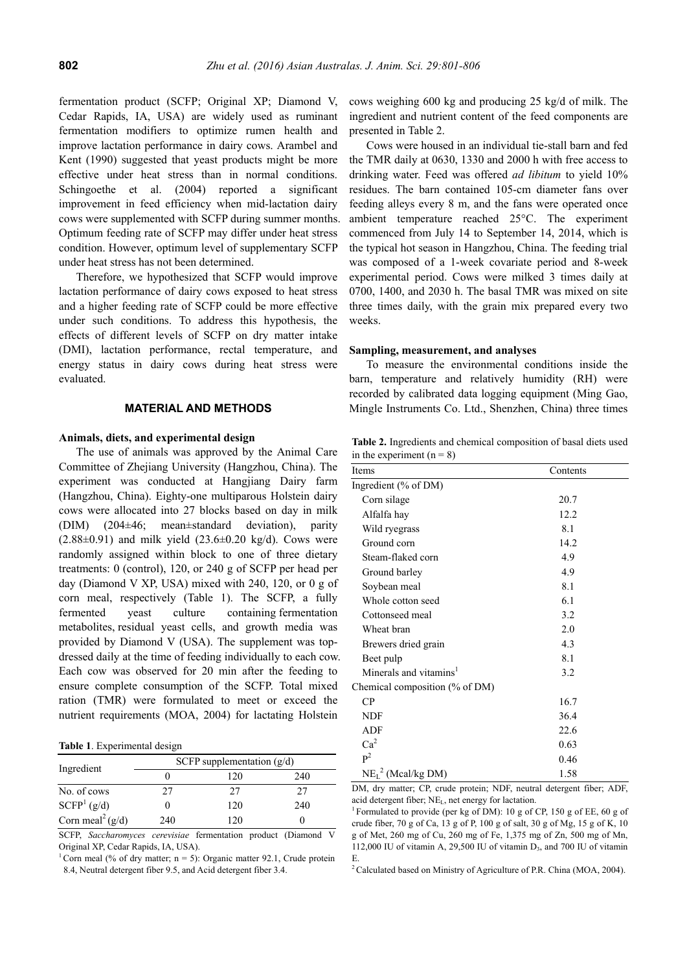fermentation product (SCFP; Original XP; Diamond V, Cedar Rapids, IA, USA) are widely used as ruminant fermentation modifiers to optimize rumen health and improve lactation performance in dairy cows. Arambel and Kent (1990) suggested that yeast products might be more effective under heat stress than in normal conditions. Schingoethe et al. (2004) reported a significant improvement in feed efficiency when mid-lactation dairy cows were supplemented with SCFP during summer months. Optimum feeding rate of SCFP may differ under heat stress condition. However, optimum level of supplementary SCFP under heat stress has not been determined.

Therefore, we hypothesized that SCFP would improve lactation performance of dairy cows exposed to heat stress and a higher feeding rate of SCFP could be more effective under such conditions. To address this hypothesis, the effects of different levels of SCFP on dry matter intake (DMI), lactation performance, rectal temperature, and energy status in dairy cows during heat stress were evaluated.

### **MATERIAL AND METHODS**

## **Animals, diets, and experimental design**

The use of animals was approved by the Animal Care Committee of Zhejiang University (Hangzhou, China). The experiment was conducted at Hangjiang Dairy farm (Hangzhou, China). Eighty-one multiparous Holstein dairy cows were allocated into 27 blocks based on day in milk (DIM) (204±46; mean±standard deviation), parity  $(2.88\pm0.91)$  and milk yield  $(23.6\pm0.20 \text{ kg/d})$ . Cows were randomly assigned within block to one of three dietary treatments: 0 (control), 120, or 240 g of SCFP per head per day (Diamond V XP, USA) mixed with 240, 120, or 0 g of corn meal, respectively (Table 1). The SCFP, a fully fermented yeast culture containing fermentation metabolites, residual yeast cells, and growth media was provided by Diamond V (USA). The supplement was topdressed daily at the time of feeding individually to each cow. Each cow was observed for 20 min after the feeding to ensure complete consumption of the SCFP. Total mixed ration (TMR) were formulated to meet or exceed the nutrient requirements (MOA, 2004) for lactating Holstein

**Table 1**. Experimental design

| Ingredient                   | SCFP supplementation $(g/d)$ |     |     |  |  |
|------------------------------|------------------------------|-----|-----|--|--|
|                              |                              | 120 | 240 |  |  |
| No. of cows                  | 27                           | 27  | 27  |  |  |
| SCFP <sup>1</sup> (g/d)      |                              | 120 | 240 |  |  |
| Corn meal <sup>2</sup> (g/d) | 240                          | 120 |     |  |  |

SCFP, *Saccharomyces cerevisiae* fermentation product (Diamond V Original XP, Cedar Rapids, IA, USA).

<sup>1</sup> Corn meal (% of dry matter; n = 5): Organic matter 92.1, Crude protein 8.4, Neutral detergent fiber 9.5, and Acid detergent fiber 3.4.

cows weighing 600 kg and producing 25 kg/d of milk. The ingredient and nutrient content of the feed components are presented in Table 2.

Cows were housed in an individual tie-stall barn and fed the TMR daily at 0630, 1330 and 2000 h with free access to drinking water. Feed was offered *ad libitum* to yield 10% residues. The barn contained 105-cm diameter fans over feeding alleys every 8 m, and the fans were operated once ambient temperature reached 25°C. The experiment commenced from July 14 to September 14, 2014, which is the typical hot season in Hangzhou, China. The feeding trial was composed of a 1-week covariate period and 8-week experimental period. Cows were milked 3 times daily at 0700, 1400, and 2030 h. The basal TMR was mixed on site three times daily, with the grain mix prepared every two weeks.

### **Sampling, measurement, and analyses**

To measure the environmental conditions inside the barn, temperature and relatively humidity (RH) were recorded by calibrated data logging equipment (Ming Gao, Mingle Instruments Co. Ltd., Shenzhen, China) three times

**Table 2.** Ingredients and chemical composition of basal diets used in the experiment  $(n = 8)$ 

| Items                              | Contents |  |  |
|------------------------------------|----------|--|--|
| Ingredient $(\%$ of DM)            |          |  |  |
| Corn silage                        | 20.7     |  |  |
| Alfalfa hay                        | 12.2     |  |  |
| Wild ryegrass                      | 8.1      |  |  |
| Ground corn                        | 14.2     |  |  |
| Steam-flaked corn                  | 4.9      |  |  |
| Ground barley                      | 4.9      |  |  |
| Soybean meal                       | 8.1      |  |  |
| Whole cotton seed                  | 6.1      |  |  |
| Cottonseed meal                    | 3.2      |  |  |
| Wheat bran                         | 2.0      |  |  |
| Brewers dried grain                | 4.3      |  |  |
| Beet pulp                          | 8.1      |  |  |
| Minerals and vitamins <sup>1</sup> | 3.2      |  |  |
| Chemical composition (% of DM)     |          |  |  |
| CP                                 | 16.7     |  |  |
| <b>NDF</b>                         | 36.4     |  |  |
| <b>ADF</b>                         | 22.6     |  |  |
| Ca <sup>2</sup>                    | 0.63     |  |  |
| $\mathbf{p}^2$                     | 0.46     |  |  |
| $NEL2$ (Mcal/kg DM)                | 1.58     |  |  |

DM, dry matter; CP, crude protein; NDF, neutral detergent fiber; ADF, acid detergent fiber; NE<sub>L</sub>, net energy for lactation.<br><sup>1</sup> Formulated to provide (per kg of DM): 10 g of CP, 150 g of EE, 60 g of

crude fiber, 70 g of Ca, 13 g of P, 100 g of salt, 30 g of Mg, 15 g of K, 10 g of Met, 260 mg of Cu, 260 mg of Fe, 1,375 mg of Zn, 500 mg of Mn, 112,000 IU of vitamin A, 29,500 IU of vitamin  $D_3$ , and 700 IU of vitamin E.

<sup>2</sup> Calculated based on Ministry of Agriculture of P.R. China (MOA, 2004).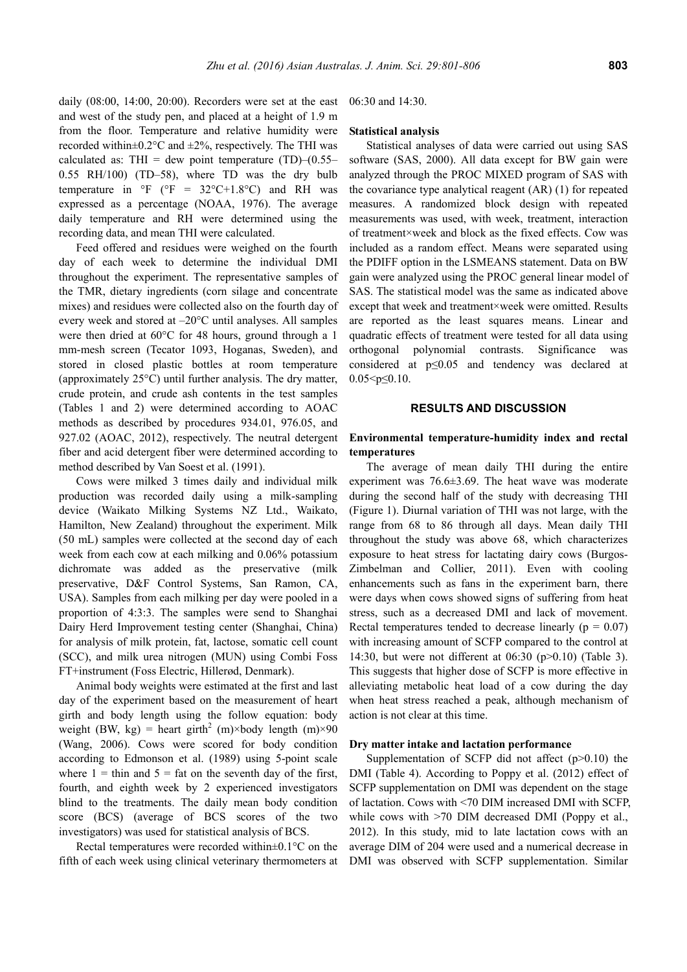daily (08:00, 14:00, 20:00). Recorders were set at the east and west of the study pen, and placed at a height of 1.9 m from the floor. Temperature and relative humidity were recorded within $\pm 0.2$ °C and  $\pm 2\%$ , respectively. The THI was calculated as: THI = dew point temperature  $(TD)$ – $(0.55$ – 0.55 RH/100) (TD–58), where TD was the dry bulb temperature in  ${}^{\circ}$ F ( ${}^{\circ}$ F = 32 ${}^{\circ}$ C+1.8 ${}^{\circ}$ C) and RH was expressed as a percentage (NOAA, 1976). The average daily temperature and RH were determined using the recording data, and mean THI were calculated.

Feed offered and residues were weighed on the fourth day of each week to determine the individual DMI throughout the experiment. The representative samples of the TMR, dietary ingredients (corn silage and concentrate mixes) and residues were collected also on the fourth day of every week and stored at –20°C until analyses. All samples were then dried at 60°C for 48 hours, ground through a 1 mm-mesh screen (Tecator 1093, Hoganas, Sweden), and stored in closed plastic bottles at room temperature (approximately 25°C) until further analysis. The dry matter, crude protein, and crude ash contents in the test samples (Tables 1 and 2) were determined according to AOAC methods as described by procedures 934.01, 976.05, and 927.02 (AOAC, 2012), respectively. The neutral detergent fiber and acid detergent fiber were determined according to method described by Van Soest et al. (1991).

Cows were milked 3 times daily and individual milk production was recorded daily using a milk-sampling device (Waikato Milking Systems NZ Ltd., Waikato, Hamilton, New Zealand) throughout the experiment. Milk (50 mL) samples were collected at the second day of each week from each cow at each milking and 0.06% potassium dichromate was added as the preservative (milk preservative, D&F Control Systems, San Ramon, CA, USA). Samples from each milking per day were pooled in a proportion of 4:3:3. The samples were send to Shanghai Dairy Herd Improvement testing center (Shanghai, China) for analysis of milk protein, fat, lactose, somatic cell count (SCC), and milk urea nitrogen (MUN) using Combi Foss FT+instrument (Foss Electric, Hillerød, Denmark).

Animal body weights were estimated at the first and last day of the experiment based on the measurement of heart girth and body length using the follow equation: body weight (BW, kg) = heart girth<sup>2</sup> (m)×body length (m)×90 (Wang, 2006). Cows were scored for body condition according to Edmonson et al. (1989) using 5-point scale where  $1 = \text{thin}$  and  $5 = \text{fat}$  on the seventh day of the first, fourth, and eighth week by 2 experienced investigators blind to the treatments. The daily mean body condition score (BCS) (average of BCS scores of the two investigators) was used for statistical analysis of BCS.

Rectal temperatures were recorded within±0.1°C on the fifth of each week using clinical veterinary thermometers at

06:30 and 14:30.

## **Statistical analysis**

Statistical analyses of data were carried out using SAS software (SAS, 2000). All data except for BW gain were analyzed through the PROC MIXED program of SAS with the covariance type analytical reagent (AR) (1) for repeated measures. A randomized block design with repeated measurements was used, with week, treatment, interaction of treatment×week and block as the fixed effects. Cow was included as a random effect. Means were separated using the PDIFF option in the LSMEANS statement. Data on BW gain were analyzed using the PROC general linear model of SAS. The statistical model was the same as indicated above except that week and treatment×week were omitted. Results are reported as the least squares means. Linear and quadratic effects of treatment were tested for all data using orthogonal polynomial contrasts. Significance was considered at p≤0.05 and tendency was declared at  $0.05 < p \leq 0.10$ .

### **RESULTS AND DISCUSSION**

# **Environmental temperature-humidity index and rectal temperatures**

The average of mean daily THI during the entire experiment was 76.6±3.69. The heat wave was moderate during the second half of the study with decreasing THI (Figure 1). Diurnal variation of THI was not large, with the range from 68 to 86 through all days. Mean daily THI throughout the study was above 68, which characterizes exposure to heat stress for lactating dairy cows (Burgos-Zimbelman and Collier, 2011). Even with cooling enhancements such as fans in the experiment barn, there were days when cows showed signs of suffering from heat stress, such as a decreased DMI and lack of movement. Rectal temperatures tended to decrease linearly ( $p = 0.07$ ) with increasing amount of SCFP compared to the control at 14:30, but were not different at 06:30 (p>0.10) (Table 3). This suggests that higher dose of SCFP is more effective in alleviating metabolic heat load of a cow during the day when heat stress reached a peak, although mechanism of action is not clear at this time.

#### **Dry matter intake and lactation performance**

Supplementation of SCFP did not affect  $(p>0.10)$  the DMI (Table 4). According to Poppy et al. (2012) effect of SCFP supplementation on DMI was dependent on the stage of lactation. Cows with <70 DIM increased DMI with SCFP, while cows with  $>70$  DIM decreased DMI (Poppy et al., 2012). In this study, mid to late lactation cows with an average DIM of 204 were used and a numerical decrease in DMI was observed with SCFP supplementation. Similar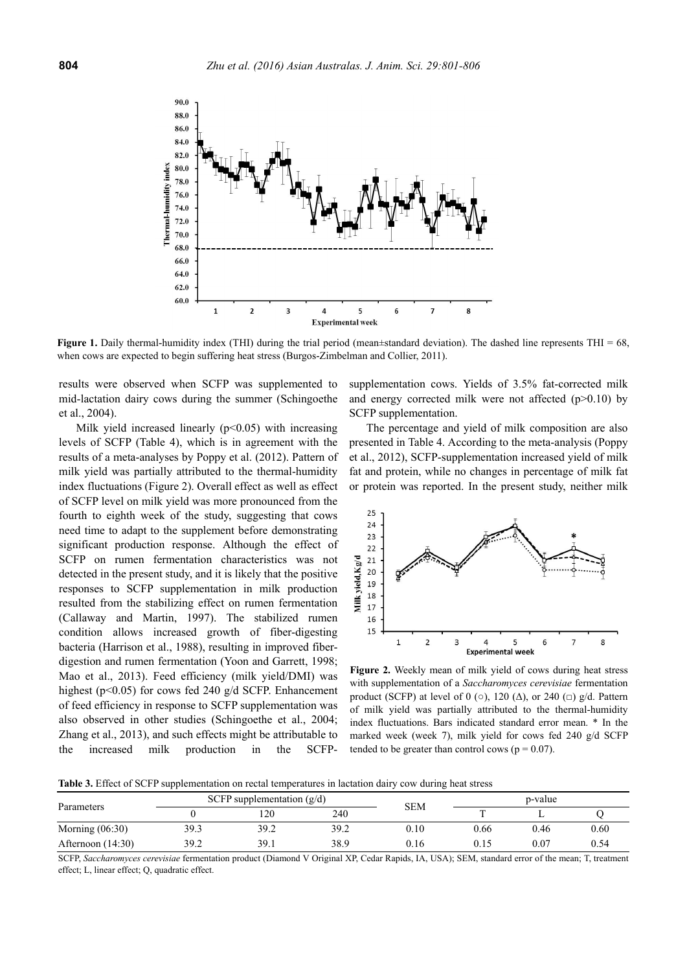

**Figure 1.** Daily thermal-humidity index (THI) during the trial period (mean±standard deviation). The dashed line represents THI = 68, when cows are expected to begin suffering heat stress (Burgos-Zimbelman and Collier, 2011).

results were observed when SCFP was supplemented to mid-lactation dairy cows during the summer (Schingoethe et al., 2004).

Milk yield increased linearly  $(p<0.05)$  with increasing levels of SCFP (Table 4), which is in agreement with the results of a meta-analyses by Poppy et al. (2012). Pattern of milk yield was partially attributed to the thermal-humidity index fluctuations (Figure 2). Overall effect as well as effect of SCFP level on milk yield was more pronounced from the fourth to eighth week of the study, suggesting that cows need time to adapt to the supplement before demonstrating significant production response. Although the effect of SCFP on rumen fermentation characteristics was not detected in the present study, and it is likely that the positive responses to SCFP supplementation in milk production resulted from the stabilizing effect on rumen fermentation (Callaway and Martin, 1997). The stabilized rumen condition allows increased growth of fiber-digesting bacteria (Harrison et al., 1988), resulting in improved fiberdigestion and rumen fermentation (Yoon and Garrett, 1998; Mao et al., 2013). Feed efficiency (milk yield/DMI) was highest (p<0.05) for cows fed 240 g/d SCFP. Enhancement of feed efficiency in response to SCFP supplementation was also observed in other studies (Schingoethe et al., 2004; Zhang et al., 2013), and such effects might be attributable to the increased milk production in the SCFP-

supplementation cows. Yields of 3.5% fat-corrected milk and energy corrected milk were not affected  $(p>0.10)$  by SCFP supplementation.

The percentage and yield of milk composition are also presented in Table 4. According to the meta-analysis (Poppy et al., 2012), SCFP-supplementation increased yield of milk fat and protein, while no changes in percentage of milk fat or protein was reported. In the present study, neither milk



**Figure 2.** Weekly mean of milk yield of cows during heat stress with supplementation of a *Saccharomyces cerevisiae* fermentation product (SCFP) at level of 0 ( $\circ$ ), 120 ( $\Delta$ ), or 240 ( $\Box$ ) g/d. Pattern of milk yield was partially attributed to the thermal-humidity index fluctuations. Bars indicated standard error mean. \* In the marked week (week 7), milk yield for cows fed 240 g/d SCFP tended to be greater than control cows ( $p = 0.07$ ).

**Table 3.** Effect of SCFP supplementation on rectal temperatures in lactation dairy cow during heat stress

| Parameters          | SCFP supplementation $(g/d)$ |      |      | <b>SEM</b> | p-value |          |      |
|---------------------|------------------------------|------|------|------------|---------|----------|------|
|                     |                              | l 20 | 240  |            |         |          |      |
| Morning $(06:30)$   | 39.3                         | 39.2 | 39.2 | 0.10       | 0.66    | 0.46     | 0.60 |
| Afternoon $(14:30)$ | 39.2                         | 39.1 | 38.9 | 0.16       | 0.15    | $0.07\,$ | 0.54 |

SCFP, *Saccharomyces cerevisiae* fermentation product (Diamond V Original XP, Cedar Rapids, IA, USA); SEM, standard error of the mean; T, treatment effect; L, linear effect; Q, quadratic effect.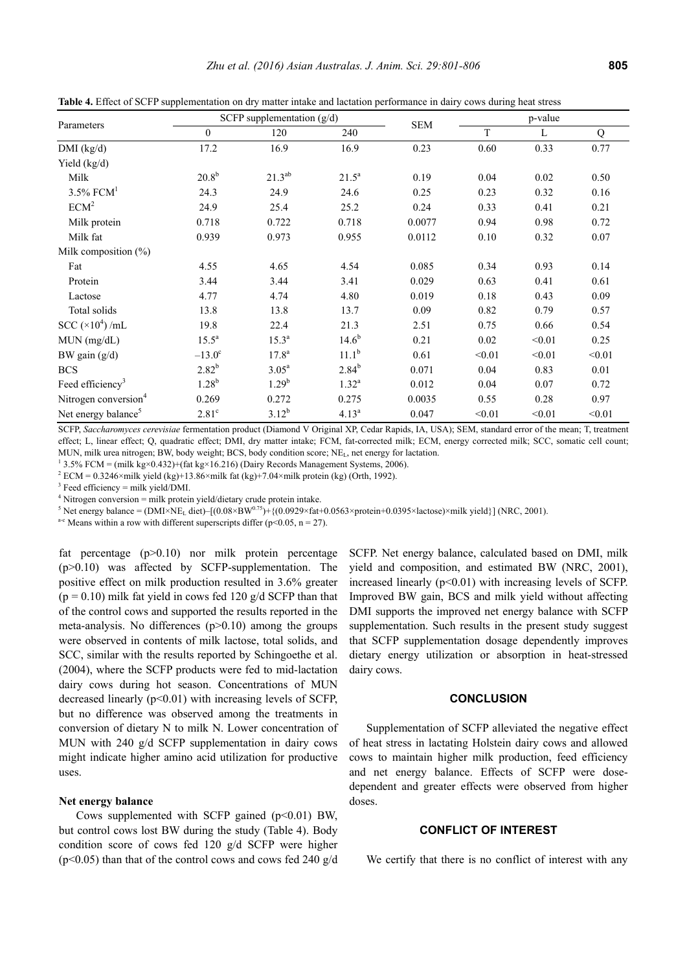| Parameters                       | SCFP supplementation $(g/d)$ |                   |                | p-value    |          |        |        |
|----------------------------------|------------------------------|-------------------|----------------|------------|----------|--------|--------|
|                                  | $\mathbf{0}$                 | 120               | 240            | <b>SEM</b> | T        | L      | Q      |
| $DMI$ (kg/d)                     | 17.2                         | 16.9              | 16.9           | 0.23       | 0.60     | 0.33   | 0.77   |
| Yield $(kg/d)$                   |                              |                   |                |            |          |        |        |
| Milk                             | $20.8^{b}$                   | $21.3^{ab}$       | $21.5^a$       | 0.19       | 0.04     | 0.02   | 0.50   |
| $3.5\%$ FCM <sup>1</sup>         | 24.3                         | 24.9              | 24.6           | 0.25       | 0.23     | 0.32   | 0.16   |
| ECM <sup>2</sup>                 | 24.9                         | 25.4              | 25.2           | 0.24       | 0.33     | 0.41   | 0.21   |
| Milk protein                     | 0.718                        | 0.722             | 0.718          | 0.0077     | 0.94     | 0.98   | 0.72   |
| Milk fat                         | 0.939                        | 0.973             | 0.955          | 0.0112     | 0.10     | 0.32   | 0.07   |
| Milk composition $(\%)$          |                              |                   |                |            |          |        |        |
| Fat                              | 4.55                         | 4.65              | 4.54           | 0.085      | 0.34     | 0.93   | 0.14   |
| Protein                          | 3.44                         | 3.44              | 3.41           | 0.029      | 0.63     | 0.41   | 0.61   |
| Lactose                          | 4.77                         | 4.74              | 4.80           | 0.019      | 0.18     | 0.43   | 0.09   |
| Total solids                     | 13.8                         | 13.8              | 13.7           | 0.09       | 0.82     | 0.79   | 0.57   |
| SCC $(\times 10^4)$ /mL          | 19.8                         | 22.4              | 21.3           | 2.51       | 0.75     | 0.66   | 0.54   |
| $MUN$ (mg/dL)                    | $15.5^{\rm a}$               | $15.3^{a}$        | $14.6^{b}$     | 0.21       | $0.02\,$ | < 0.01 | 0.25   |
| BW gain $(g/d)$                  | $-13.0^{\circ}$              | 17.8 <sup>a</sup> | $11.1^{b}$     | 0.61       | < 0.01   | < 0.01 | < 0.01 |
| <b>BCS</b>                       | $2.82^{b}$                   | $3.05^{\rm a}$    | $2.84^{b}$     | 0.071      | 0.04     | 0.83   | 0.01   |
| Feed efficiency <sup>3</sup>     | $1.28^{b}$                   | $1.29^{b}$        | $1.32^{\rm a}$ | 0.012      | 0.04     | 0.07   | 0.72   |
| Nitrogen conversion <sup>4</sup> | 0.269                        | 0.272             | 0.275          | 0.0035     | 0.55     | 0.28   | 0.97   |
| Net energy balance <sup>5</sup>  | $2.81^\circ$                 | $3.12^{b}$        | $4.13^{a}$     | 0.047      | < 0.01   | < 0.01 | < 0.01 |

**Table 4.** Effect of SCFP supplementation on dry matter intake and lactation performance in dairy cows during heat stress

SCFP, *Saccharomyces cerevisiae* fermentation product (Diamond V Original XP, Cedar Rapids, IA, USA); SEM, standard error of the mean; T, treatment effect; L, linear effect; Q, quadratic effect; DMI, dry matter intake; FCM, fat-corrected milk; ECM, energy corrected milk; SCC, somatic cell count; MUN, milk urea nitrogen; BW, body weight; BCS, body condition score; NEL, net energy for lactation. 1

<sup>1</sup> 3.5% FCM = (milk kg×0.432)+(fat kg×16.216) (Dairy Records Management Systems, 2006).

<sup>2</sup> ECM = 0.3246×milk yield (kg)+13.86×milk fat (kg)+7.04×milk protein (kg) (Orth, 1992).

 $3$  Feed efficiency = milk yield/DMI.

<sup>4</sup> Nitrogen conversion = milk protein yield/dietary crude protein intake.<br><sup>5</sup> Net energy belange = (DMIXNE, digt),  $[(0.08 \times \text{BW})^{0.75} + ((0.0920 \times \text{fst})^{0.75}]$ 

<sup>5</sup> Net energy balance = (DMI×NE<sub>L</sub> diet)–[(0.08×BW<sup>0.75</sup>)+{(0.0929×fat+0.0563×protein+0.0395×lactose)×milk yield}] (NRC, 2001). <sup>a-c</sup> Means within a row with different superscripts differ (p<0.05, n = 27).

fat percentage (p>0.10) nor milk protein percentage  $(p>0.10)$  was affected by SCFP-supplementation. The positive effect on milk production resulted in 3.6% greater  $(p = 0.10)$  milk fat yield in cows fed 120 g/d SCFP than that of the control cows and supported the results reported in the meta-analysis. No differences  $(p>0.10)$  among the groups were observed in contents of milk lactose, total solids, and SCC, similar with the results reported by Schingoethe et al. (2004), where the SCFP products were fed to mid-lactation dairy cows during hot season. Concentrations of MUN decreased linearly  $(p<0.01)$  with increasing levels of SCFP, but no difference was observed among the treatments in conversion of dietary N to milk N. Lower concentration of MUN with 240 g/d SCFP supplementation in dairy cows might indicate higher amino acid utilization for productive uses.

## **Net energy balance**

Cows supplemented with SCFP gained  $(p<0.01)$  BW, but control cows lost BW during the study (Table 4). Body condition score of cows fed 120 g/d SCFP were higher  $(p<0.05)$  than that of the control cows and cows fed 240 g/d SCFP. Net energy balance, calculated based on DMI, milk yield and composition, and estimated BW (NRC, 2001), increased linearly  $(p<0.01)$  with increasing levels of SCFP. Improved BW gain, BCS and milk yield without affecting DMI supports the improved net energy balance with SCFP supplementation. Such results in the present study suggest that SCFP supplementation dosage dependently improves dietary energy utilization or absorption in heat-stressed dairy cows.

#### **CONCLUSION**

Supplementation of SCFP alleviated the negative effect of heat stress in lactating Holstein dairy cows and allowed cows to maintain higher milk production, feed efficiency and net energy balance. Effects of SCFP were dosedependent and greater effects were observed from higher doses.

# **CONFLICT OF INTEREST**

We certify that there is no conflict of interest with any